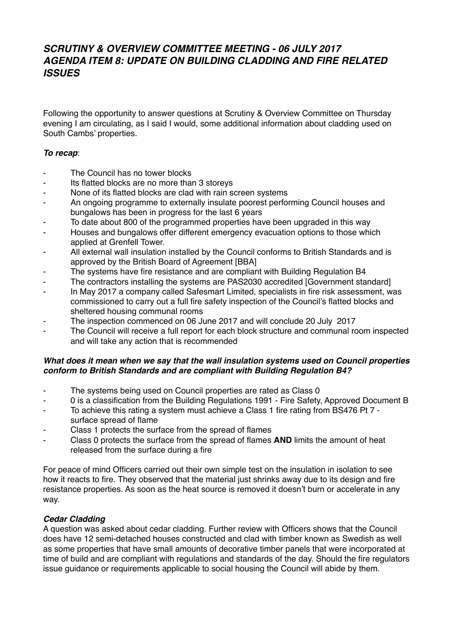## **SCRUTINY & OVERVIEW COMMITTEE MEETING - 06 JULY 2017 AGENDA ITEM 8: UPDATE ON BUILDING CLADDING AND FIRE RELATED ISSUES**

Following the opportunity to answer questions at Scrutiny & Overview Committee on Thursday evening I am circulating, as I said I would, some additional information about cladding used on South Cambs' properties.

## **To recap**:

- The Council has no tower blocks
- Its flatted blocks are no more than 3 storeys
- None of its flatted blocks are clad with rain screen systems
- An ongoing programme to externally insulate poorest performing Council houses and bungalows has been in progress for the last 6 years
- To date about 800 of the programmed properties have been upgraded in this way
- Houses and bungalows offer different emergency evacuation options to those which applied at Grenfell Tower.
- All external wall insulation installed by the Council conforms to British Standards and is approved by the British Board of Agreement [BBA]
- The systems have fire resistance and are compliant with Building Regulation B4
- The contractors installing the systems are PAS2030 accredited [Government standard]
- In May 2017 a company called Safesmart Limited, specialists in fire risk assessment, was commissioned to carry out a full fire safety inspection of the Council's flatted blocks and sheltered housing communal rooms
- The inspection commenced on 06 June 2017 and will conclude 20 July 2017
- The Council will receive a full report for each block structure and communal room inspected and will take any action that is recommended

## **What does it mean when we say that the wall insulation systems used on Council properties conform to British Standards and are compliant with Building Regulation B4?**

- The systems being used on Council properties are rated as Class 0
- 0 is a classification from the Building Regulations 1991 Fire Safety, Approved Document B
- To achieve this rating a system must achieve a Class 1 fire rating from BS476 Pt 7 surface spread of flame
- Class 1 protects the surface from the spread of flames
- Class 0 protects the surface from the spread of flames **AND** limits the amount of heat released from the surface during a fire

For peace of mind Officers carried out their own simple test on the insulation in isolation to see how it reacts to fire. They observed that the material just shrinks away due to its design and fire resistance properties. As soon as the heat source is removed it doesn't burn or accelerate in any way.

## **Cedar Cladding**

A question was asked about cedar cladding. Further review with Officers shows that the Council does have 12 semi-detached houses constructed and clad with timber known as Swedish as well as some properties that have small amounts of decorative timber panels that were incorporated at time of build and are compliant with regulations and standards of the day. Should the fire regulators issue guidance or requirements applicable to social housing the Council will abide by them.